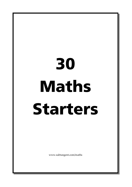# 30 Maths Starters

www.subtangent.com/maths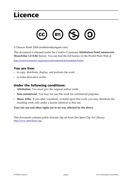# **Licence**



© Duncan Keith 2004 (maths@subtangent.com)

This document is released under the Creative Commons Attribution-NonCommercial-**ShareAlike 1.0 (UK)** licence. You can find the full licence on the World Wide Web at

http://creativecommons.org/projects/international/uk/translated-license

#### You are free:

- to copy, distribute, display, and perform the work
- to make derivative works

#### Under the following conditions:

- Attribution. You must give the original author credit.
- Non-commercial. You may not use this work for commercial purposes.
- Share Alike. If you alter, transform, or build upon this work, you may distribute the resulting work only under a license identical to this one.

Your fair use and other rights are in no way affected by the above.

This document contains public domain clip art from the Open Clip Art Library: http://www.openclipart.org/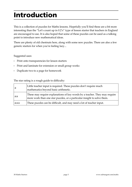# **Introduction**

This is a collection of puzzles for Maths lessons. Hopefully you'll find these are a bit more interesting than the "Let's count up in 0.2's" type of lesson starter that teachers in England are encouraged to use. It is also hoped that some of these puzzles can be used as a talking point to introduce new mathematical ideas.

There are plenty of old chestnuts here, along with some new puzzles. There are also a few generic starters for when you're feeling lazy...

Suggested uses:

- Print onto transparencies for lesson starters
- Print and laminate for extension or small group works  $\bullet$
- Duplicate two to a page for homework

The star rating is a rough guide to difficulty:

| ☆   | Little teacher input is required. These puzzles don't require much<br>mathematics beyond basic arithmetic.                                            |
|-----|-------------------------------------------------------------------------------------------------------------------------------------------------------|
| 272 | These may require explanations of key words by a teacher. They may require<br>more work than one star puzzles, or a particular insight to solve them. |
| *** | These puzzles can be difficult, and may need a lot of teacher input.                                                                                  |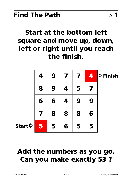# **Start at the bottom left** square and move up, down, left or right until you reach the finish.

|                  | 4 | 9 | 7 | 7 | 4 | $\diamond$ Finish |
|------------------|---|---|---|---|---|-------------------|
|                  | 8 | 9 | 4 | 5 |   |                   |
|                  | 6 | 6 | 4 | 9 | 9 |                   |
|                  |   | 8 | 8 | 8 | 6 |                   |
| Start $\diamond$ | 5 | 5 | 6 | 5 | 5 |                   |

# Add the numbers as you go. **Can you make exactly 53?**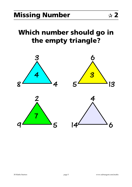# Which number should go in the empty triangle?

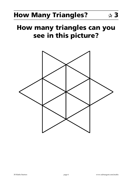# **How Many Triangles?**

# **How many triangles can you** see in this picture?

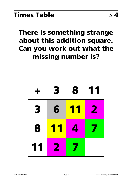# There is something strange about this addition square. Can you work out what the missing number is?

| ╋  | 3         | 8         | 11 |
|----|-----------|-----------|----|
| 3  | 6         | <b>TY</b> | 2  |
| 8  | <b>11</b> | 4         |    |
| 11 |           |           |    |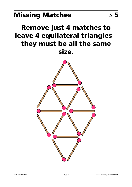# **Missing Matches**

# **Remove just 4 matches to** leave 4 equilateral triangles they must be all the same size.

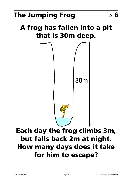# A frog has fallen into a pit that is 30m deep.



# Each day the frog climbs 3m, but falls back 2m at night. How many days does it take for him to escape?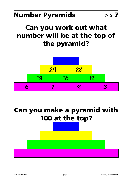# Can you work out what number will be at the top of the pyramid?



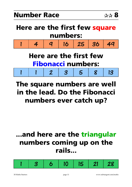# Here are the first few square numbers:



# **Here are the first few Fibonacci numbers:**

 $\mathbf{1}$  $\overline{\mathcal{R}}$ 13  $\overline{2}$ 1 3  $\overline{\mathbf{5}}$ 

# The square numbers are well in the lead. Do the Fibonacci numbers ever catch up?

# ...and here are the triangular numbers coming up on the rails...

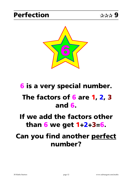

# **6** is a very special number.

# The factors of 6 are 1, 2, 3 and  $6$

# If we add the factors other than 6 we get  $1+2+3=6$ .

# **Can you find another perfect** number?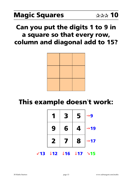### Can you put the digits 1 to 9 in a square so that every row, column and diagonal add to 15?



# This example doesn't work:

|   | 3 | 5 | 9                   |
|---|---|---|---------------------|
| 9 | 6 | 4 | 19<br>$\rightarrow$ |
| 2 | 7 | 8 | $\mathbf{17}$       |

 $×13$  ↓12 ↓16 ↓17 →15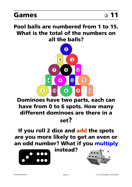### Pool balls are numbered from 1 to 15. What is the total of the numbers on all the balls?



### Dominoes have two parts, each can have from 0 to 6 spots. How many different dominoes are there in a set?

### If you roll 2 dice and add the spots are you more likely to get an even or an odd number? What if you multiply



instead?

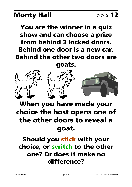# **Monty Hall**

You are the winner in a quiz show and can choose a prize from behind 3 locked doors. Behind one door is a new car. **Behind the other two doors are** 

goats.



# When you have made your choice the host opens one of the other doors to reveal a goat.

### Should you stick with your choice, or switch to the other one? Or does it make no difference?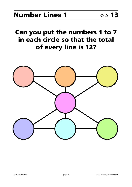### Can you put the numbers 1 to 7 in each circle so that the total of every line is 12?

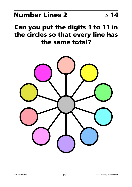# **Number Lines 2**

### Can you put the digits 1 to 11 in the circles so that every line has the same total?

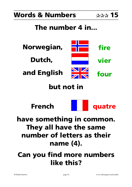### **Words & Numbers**

# The number 4 in...



# but not in





# have something in common. They all have the same number of letters as their name (4).

# **Can you find more numbers** like this?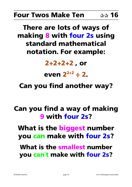#### **Four Twos Make Ten** ☆☆ 16

# There are lots of ways of making 8 with four 2s using standard mathematical notation. For example:

# $2+2+2+2$ , or

# even  $2^{2+2} \div 2$ .

# **Can you find another way?**

# Can you find a way of making **9 with four 2s?**

What is the biggest number you can make with four 2s?

What is the smallest number you can't make with four 2s?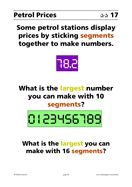# **Some petrol stations display** prices by sticking segments together to make numbers.



# What is the largest number you can make with 10 segments?



### What is the largest you can make with 16 segments?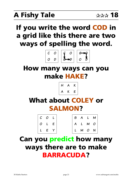# If you write the word COD in a grid like this there are two ways of spelling the word.



### How many ways can you make HAKE?



# **What about COLEY or SALMON?**

|  | $ C$ 0 $L$                                             |  | $S A L M$       |  |
|--|--------------------------------------------------------|--|-----------------|--|
|  |                                                        |  | $A$ $L$ $M$ $O$ |  |
|  | $\begin{array}{cccc} \parallel L & E & Y \end{array},$ |  |                 |  |

# **Can you predict how many** ways there are to make **BARRACUDA?**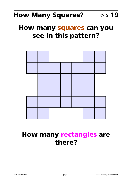### **How many squares can you** see in this pattern?



# **How many rectangles are** there?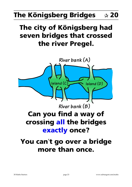### **The Königsberg Bridges**  $\boldsymbol{\mathbf{\hat{x}}}$  20

# The city of Königsberg had seven bridges that crossed the river Pregel.

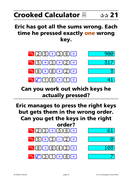# Crooked Calculator  $\boxtimes$

### Eric has got all the sums wrong. Each time he pressed exactly one wrong key.



### Can you work out which keys he actually pressed?

Eric manages to press the right keys but gets them in the wrong order. Can you get the keys in the right



Ē.

103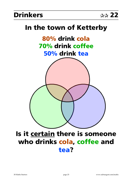### **Drinkers**

# In the town of Ketterby 80% drink cola 70% drink coffee 50% drink tea

### Is it certain there is someone who drinks cola, coffee and tea?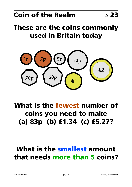# These are the coins commonly used in Britain today



# What is the fewest number of coins you need to make (a) 83p (b)  $£1.34$  (c)  $£5.27?$

# **What is the smallest amount** that needs more than 5 coins?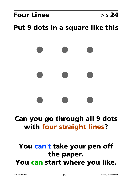# Put 9 dots in a square like this

# Can you go through all 9 dots with four straight lines?

# You can't take your pen off the paper. You can start where you like.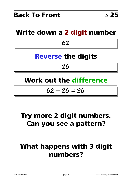### Write down a 2 digit number

62

# **Reverse the digits**

### 26

# **Work out the difference**

### $62 - 26 = 36$

# Try more 2 digit numbers. Can you see a pattern?

# **What happens with 3 digit** numbers?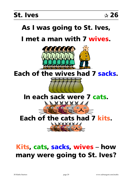# As I was going to St. Ives,

### I met a man with 7 wives



Each of the wives had 7 sacks.



# Kits, cats, sacks, wives - how many were going to St. Ives?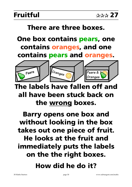### There are three boxes.

# One box contains pears, one contains oranges, and one contains pears and oranges.



# The labels have fallen off and all have been stuck back on the wrong boxes.

# **Barry opens one box and** without looking in the box takes out one piece of fruit. He looks at the fruit and immediately puts the labels on the the right boxes.

# How did he do it?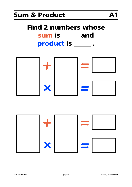### **Sum & Product**

# **Find 2 numbers whose** sum is \_\_\_\_ and product is \_\_\_\_\_

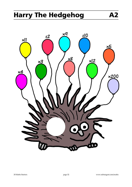# **Harry The Hedgehog**



**A2**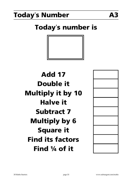# **Today's Number**

# **Today's number is**



# **Add 17 Double it Multiply it by 10 Halve it Subtract 7 Multiply by 6 Square it Find its factors** Find 1/4 of it

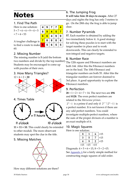# **Notes**

### 1. Find The Path

Here is one solution:  $5+7+6+6+9+4+$  $+7+4=53$ 

|    | 4 | 9 |   |   |   |
|----|---|---|---|---|---|
| 5  | 8 | 9 |   | 5 |   |
|    | 6 | 6 | 4 | 9 | 9 |
| is |   | 8 | 8 | 8 | 6 |
| ke | 5 | 5 | 6 | 5 | 5 |

A tougher challenge to find a route to ma 60

### 2. Missing Number

The missing number is 5 (add the bottom two numbers and divide by the top number). Students may be encouraged to come up with puzzles of their own.

### 3. How Many Triangles?



### 4. Times Table



#### 11 o'clock

10 o'clock

 $11 + 11 = 10$ . This could clearly be extended to other moduli. The more observant students may spot the clue in the title.

### 5. Missing Matches



How may different solutions are there?

### 6. The Jumping Frog

It will take him 28 days to escape. After 27 days and nights the frog has only 3 metres to go. On the 28th day the frog is able to jump clear.

#### 7. Number Pyramids

57. Each number is obtained by adding the two immediately below it. A good strategy for solving these puzzles is to start with the target number in place and to work downwards. This can clearly be extended to non-integral and negative targets.

#### 8. Number Race

The 12th square and Fibonacci numbers are both 144. After this the Fibonacci numbers are in the lead. The 10th Fibonacci and triangular numbers are both 55. After this the triangular numbers are forever doomed to 3rd place. A good opportunity to explore the Fibonacci numbers.

### 9. Perfection

 $28 = 1 + 2 + 4 + 7 + 14$ . The next two are 496 and 8128. The even perfect numbers are related to the Mersenne primes.

 $2^{p}-1$  is a prime if and only if  $2^{p-1}(2^{p}-1)$  is a perfect number. It is not known if there are any odd perfect numbers. You could investigate multiple-perfect numbers, where the sum of the proper divisors of a number is an exact multiple of it.

#### 10. Magic Squares

Here is one solution:

| e suiutiuit. |       |       |       |  |  |  |
|--------------|-------|-------|-------|--|--|--|
| 8            |       | 6     | $=15$ |  |  |  |
| 3            | 5     |       | $=15$ |  |  |  |
| 4            | q     |       | $=15$ |  |  |  |
| $=15$        | $=15$ | $=15$ |       |  |  |  |

Diagonals:  $4 + 5 + 6 = 15$ ,  $8 + 5 + 2 = 15$ . See Appendix A for a fairly simple method for constructing magic squares of odd order.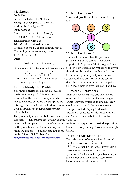### 11. Games

#### **Pool: 120**

Pair off the balls  $1+15$ ,  $2+14$ , etc. This gives seven pairs.  $7 \times 16 = 112$ . Adding the 8 ball gives 120.

#### Dominoes: 28

List the dominoes with a blank  $(0)$ :  $0-0$ ,  $0-1$ ,  $0-2$ , ...,  $0-6$  (7 dominoes) Then list those with a 1: 1-1, 1-2, 1-3, ..., 1-6 (6 dominoes). We miss out the 1-0 as this is in the first list. Continuing in the same way gives  $1 + 2 + 3 + ... + 7 = 28$ Dice:  $\frac{1}{2}$ 

 $P(\text{odd on dice}) = P(\text{even}) = \frac{1}{2}$  $P(\text{odd sum}) = P(\text{odd} + \text{even}) + P(\text{even} + \text{odd})$  $=\frac{1}{2}\times\frac{1}{2}+\frac{1}{2}\times\frac{1}{2}=\frac{1}{4}+\frac{1}{4}=\frac{1}{2}$ 

Alternatively you could draw a sample space(You could also put 1 or 11 in the centre, diagram and get counting...

### 12. The Monty Hall Problem

You should switch (assuming you would prefer a car to a goat). It is tempting to assume that the two remaining doors have an equal chance of hiding the star prize, but this neglects the fact that the host's choice of would you prove it?) Some more exotic door to open is not independent of your initial choice.

The probability of your initial choice being correct is  $\frac{1}{3}$ . This probability doesn't change (Zulu, 27). when the host opens one of the other doors. So the probability that the remaining door hides the prize is  $\frac{2}{3}$ . You can find lots more on the 'Monty Hall Problem' at

http://math.rice.edu/~ddonovan/montyurl.html

### 13. Number Lines 1

You could give the hint that the centre digit is 4.



#### 14. Number Lines 2

This is a little easier than the previous puzzle. Put 6 in the centre. Then place 1 opposite 11, 2 opposite 10, etc. to give totals of 18. In both puzzles the realisation that you should put the median number in the centre to maintain symmetry helps enormously. since the remaining numbers can be paired off in these cases to give totals of 14 and 22.

#### 15. Words & Numbers

An orthonymic number is one that has the same number of letters as its name suggests. "Four" is probably unique in English. (How examples include "queig" (Manx, 5); "bederatzi" (Basque, 9); "du" (Esperanto, 2) and "amashumi amabili nesikhombisa"

An interesting question is to find expressions that are orthonymic, e.g. "five add seven" (12 letters).

### 16. Four Twos Make Ten

Two other ways of making  $8$  are  $2 \times 2 + 2 \times 2$ and the less obvious  $(\frac{2}{2}+2)!+2$ .  $2^{2^{2+2}}$  = 65536 *may* be the largest if we restrict ourselves to powers and the 4 basic operations. 7 is the smallest positive integer that cannot be made without resource to factorials etc. A calculator is useful.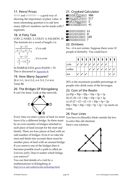### 17. Petrol Prices

 $11111$  and  $11111111 - a$  good way of showing the importance of place value. A more interesting question is to ask how many different numbers can be made with 7 segments.

### 18. A Fishy Tale

COD: 2, HAKE: 3, COLEY: 6, SALMON: 10 The formula for a word of length  $n$  is

$$
\frac{(n-1)!}{\left(\frac{n-1}{2}\right)!(\frac{n-1}{2})!}
$$
, if *n* is odd  

$$
\frac{(n-1)!}{\left(\frac{n}{2}-1\right)!(\frac{n}{2})!}
$$
, if *n* is even

So BARRACUDA gives  $8!/(4!4!) = 70$ . This is discussed in Appendix B.

#### 19. How Many Squares?

28 @ 1×1, 16 @ 2×2, 6 @ 3×3, 2 @ 4×4. Total: 52

### 20. The Bridges Of Königsberg

It can't be done. Look at this network:



Every time we enter a piece of land we must You have to (literally) think outside the box leave it by a different bridge. So there must be an even number of bridges attached to each piece of land (except for the start and finish). There are four pieces of land with an odd number of bridges. Even if we take the start and finish into account there must be another piece of land with an unused bridge. If you remove one of the bridges then it becomes possible (such a path is called an Eulerian path). Does it matter which bridge you remove?

You can find details of a visit by a mathematician to Königsberg at http://www.amt.canberra.edu.au/koenigs.html

### 21. Crooked Calculator

| $\sim$ 215 $\ge$ 316 =                    |  |
|-------------------------------------------|--|
| $\frac{1}{2}$ 5 + 3 $\frac{1}{2}$ 2 = 317 |  |
| <b>88 ± 8</b> F 2 F                       |  |
| <b>B</b> FING 8 NE 41                     |  |

| %25日日36日 61                   |  |
|-------------------------------|--|
| <u>®83FFC2FF5FFFF6F</u>       |  |
| <u>%824−8F 103</u>            |  |
| $\infty$ $\sqrt{36 + 11} = 7$ |  |

#### 22. Drinkers

No – it is not certain. Suppose there were 10 people in Ketterby. You could have:

| cola   |  |  |  |  |  |
|--------|--|--|--|--|--|
| coffee |  |  |  |  |  |
| tea    |  |  |  |  |  |

20% is the maximum possible percentage of people who drink none of the beverages.

#### 23. Coin of the Realm

(a)  $83p = 50p + 20p + 10p + 2p + 1p$ (b)  $\pounds1.34 = \pounds1 + 20p + 10p + 2p + 2p$ (c)  $£5.27 = £2 + £2 + £1 + 20p + 5p + 2p$  $88p = 50p + 20p + 10p + 5p + 2p + 1p$  needs six coins.

#### 24. Four Lines

to solve this old chestnut. Here's one solution:

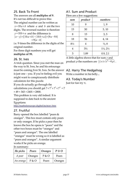#### 25. Back To Front

### The answers are all **multiples of 9**.

It's not too difficult to prove this: The original number can be written as  $x=10a+b$  where a and b are the two digits. The reversed number is therefore  $y=10b+a$  and the difference is  $|x-y| = |(10a+b)-(10b+a)|=|9a-9b|$  $= 9|a-b|$ 

i.e. 9 times the difference in the digits of the original number.

For three digit numbers you will get multiples of 99.

#### 26. St. Ives

A trick question. Since you met the man on the way to St. Ives, he and his entourage must be coming *from* St. Ives. So the answer is just one – you. If you're feeling evil you might want to conspicuously distribute calculators for this puzzle. If you do actually go through the calculations you should get  $7+7^2+7^3+7^4 = 7$  $+49 + 343 + 2401 = 2800.$ 

This problem is very old indeed. It is supposed to date back to the ancient Egyptians:

http://mathsforeurope.digibel.be/story.htm

### 27. Fruitful

Barry opened the box labelled "pears & oranges". This box must contain only pears or only oranges. If he picks a pear then he knows the box he opens is "pears" and the other two boxes must be "oranges" and "pears and oranges". The one labelled "oranges" must be wrong so it is labelled as "pears and oranges". A similar argument works if he picks an orange.

In summary:

| He picks  | Pears   | Oranges | $P \& O$ |
|-----------|---------|---------|----------|
| A pear    | Oranges | P & O   | Pears    |
| An orange | P & O   | Pears   | Oranges  |

### A1. Sum and Product

Here are a few suggestions:

| sum            | ◡◡<br>product  | numbers                         |
|----------------|----------------|---------------------------------|
| 10             | 9              | 1, 9                            |
| 15             | 50             | 5, 10                           |
| 8              | 15             | 3, 5                            |
| 18             | 56             | 4, 14                           |
| $8\frac{1}{2}$ | 4              | $\frac{1}{2}$ , 8               |
| 4              | $3\frac{3}{4}$ | $1\frac{1}{2}$ , $2\frac{1}{2}$ |
| 3              | 1.89           | 0.9, 2.1                        |

A little algebra shows that for sum s and product *p* the numbers are  $\frac{1}{2}(s \pm \sqrt{s^2 - 4p})$ .

#### A2. Harry The Hedgehog

Write a number in his belly...

#### A3. Today's Number

Just for fun try  $\pi$ .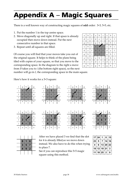# <span id="page-37-0"></span>**Appendix A - Magic Squares**

There is a well known way of constructing magic squares of **odd** order: 3×3, 5×5, etc.

- 1. Put the number 1 in the top centre space.
- 2. Move diagonally up and right. If that space is already occupied then move down instead. Put the next consecutive number in that space.
- 3. Repeat until all squares are filled.

 $\mathbf{a}$  $\mathbf b$  $\mathbf{c}$  $\mathbf{a}$  $\mathbf{h}$  $\mathbf c$  $\mathbf{a}$  $\rm b$  $\mathbf c$  $\mathbf f$  $\mathbf d$  $\mathbf f$  $\mathbf d$  $\mathbf f$  $\rm d$  $\mathbf{e}$  $\mathbf{e}$  $\mathbf{e}$  $\mathbf{i}$  $\mathbf{i}$  $\mathbf{h}$  $\mathbf h$  $\mathbf{g}$  $\mathbf{i}$  $\mathbf h$  $\mathbf{g}$ g  $\overline{A}$  $\mathbf{F}$  $\overline{C}$  $\mathbf{c}$  $\mathbf{a}$  $\rm b$  $\rm c$  $\mathbf{a}$  $\rm b$  $\mathbf{f}$  $\mathbf{d}$  $\mathbf{f}$  $\overline{D}$  $E$  $\overline{F}$  $\mathbf{d}$  $\mathbf{e}$  $\mathbf{e}$  $\overline{G}$  $H$  $\mathbf I$  $\mathbf{h}$  $\mathbf{i}$ g  $\mathbf h$  $\rm i$  $\mathbf{g}$  $\mathbf{c}$  $\overline{a}$  $\mathbf{h}$  $\mathbf{c}$  $\mathbf{a}$  $\mathbf{h}$  $\mathbf{c}$  $\mathbf{h}$  $\overline{a}$  $\mathbf{d}$  $\mathbf f$  $\mathbf{d}$  $\mathbf f$  $\rm d$  $\mathbf f$  $\mathbf{e}$  $\mathbf{e}$  $\mathbf{e}$ g  $\,h$  $\mathbf{i}$  $\mathbf{h}$  $\mathbf{i}$  $\boldsymbol{\mathrm{h}}$  $\rm i$ g g

Of course you will find that your moves take you out of the original square. It helps to think of the plane being tiled with copies of your square, so that you move to the corresponding space. In the diagram to the right a move from  $B$  takes you to  $i$  (the bottom right space), so the next

number will go in  $I$ , the corresponding space in the main square.

Here's how it works for a 3×3 square:

| i | g            | h           |   | g |
|---|--------------|-------------|---|---|
| C | $\mathbf{A}$ |             | C | a |
| f | D            | E           | F | d |
|   | G            | H           | T | g |
| C | a            | $\mathbf b$ | C | a |

| i | g | h | i                       | g |
|---|---|---|-------------------------|---|
| C | A |   | Ċ                       | a |
| f | D | E | F                       | d |
| i | G | H | $\overline{\mathbf{2}}$ | g |
| C | a | b | $\overline{c}$          | a |

| i | g | h         | i                       | g |
|---|---|-----------|-------------------------|---|
| C | A |           |                         | a |
| f | 3 | 5         | F                       | d |
| i |   | $H_{\rm}$ | $\overline{\mathbf{2}}$ | g |
| C | a | b         | $\mathsf c$             | a |

| $\mathsf{C}$ | a | $\mathbf b$ | $\mathsf{C}$ | a |
|--------------|---|-------------|--------------|---|
|              |   |             |              |   |
|              |   |             |              |   |
|              |   |             |              |   |
|              |   |             |              |   |
|              |   |             |              |   |
|              |   |             |              |   |
| i            | g | h           | i            | ġ |
|              |   |             |              |   |
| C            | A |             | ā            | a |
|              |   |             |              |   |
| f            | 8 | 5           |              | d |
|              |   |             |              |   |

 $\overline{\rm H}$  $\overline{\mathbf{2}}$  $\mathbf g$ 

| C | $\rm{a}$ | $\mathbf b$      | $\mathbf{c}$ |
|---|----------|------------------|--------------|
|   |          |                  |              |
| i | g        | $\boldsymbol{h}$ | i            |
| C | A        |                  | ê            |
|   |          |                  |              |

 $E$  $\mathbf{E}$  $\mathbf{d}$ g  $\overline{a}$ 

 $\overline{H}$ 

 $\mathbf{g}$ 

 $\overline{a}$ 

| C | Α |   | C            | a |
|---|---|---|--------------|---|
| f | 3 | F | F            | d |
| i |   | H | 2            | g |
|   |   |   |              |   |
| C | a | b | $\mathsf{C}$ | a |

 $g \mid h \mid i$ 

 $\mathbf g$ 

|   | g | h |                         | g |
|---|---|---|-------------------------|---|
| C | 8 |   | 6                       | a |
| f | 3 | 5 |                         | d |
| i |   | H | $\overline{\mathbf{2}}$ | g |
| C | a | b | C                       | a |

8 6 1  $\overline{7}$  $\overline{3}$ 5  $\overline{2}$  $\overline{\mathbf{4}}$ 9

After we have placed 3 we find that the slot for 4 is already filled, so we move down instead. We also have to do this when trying to place 7.

See if you can reproduce this 5×5 magic square using this method.

|    | 17 24 | 1         | 8           | 15 |
|----|-------|-----------|-------------|----|
| 23 | 5     | 7         | 14          | 16 |
| 4  | 6     | 13        | 20          | 22 |
| 10 |       | $12$   19 | 21          | 3  |
|    |       | 18 25     | $\mathbf 2$ | 9  |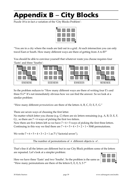# <span id="page-38-0"></span>**Appendix B - City Blocks**

Puzzle 18 is in fact a variation of the 'City Blocks Problem':



"You are in a city where the roads are laid out in a grid. At each intersection you can only travel East or South. How many different ways are there of getting from A to B?"

You should be able to convince yourself that whatever route you choose requires four 'Easts' and three 'Souths':

| A<br>ß         | ΙAΙ            | Ά              | ß              |
|----------------|----------------|----------------|----------------|
| <b>ESESESE</b> | <b>EEESESS</b> | <b>ESSEEES</b> | <b>SESESEE</b> |

So the problem reduces to "How many different ways are there of writing four E's and three S's?" It's not immediately obvious how we can find the answer. So we look at a similar problem:

"How many different *permutations* are there of the letters  $A$ ,  $B$ ,  $C$ ,  $D$ ,  $E$ ,  $F$ ,  $G$ ."

There are seven ways of choosing the first letter.

No matter which letter you choose (e.g. C) there are six letters remaining (e.g. A, B, D, E, F, G), so there are  $7 \times 6$  ways of picking the first two letters.

Now there are five letters left so we have  $7 \times 6 \times 5$  ways of picking the first three letters. Continuing in this way we find there are  $7 \times 6 \times 5 \times 4 \times 3 \times 2 \times 1 = 5040$  permutations.

We write  $7 \times 6 \times 5 \times 4 \times 3 \times 2 \times 1$  as 7! ("factorial seven").

The number of permutations of  $n$  different objects is  $n!$ .

That's fine if all the letters are different but in our City Block problem some of the letters are repeated. Let's look at a simpler problem:

Here we have three 'Easts' and two 'Souths'. So the problem is the same as "How many permutations are there of the letters E, E, E, S, S?"